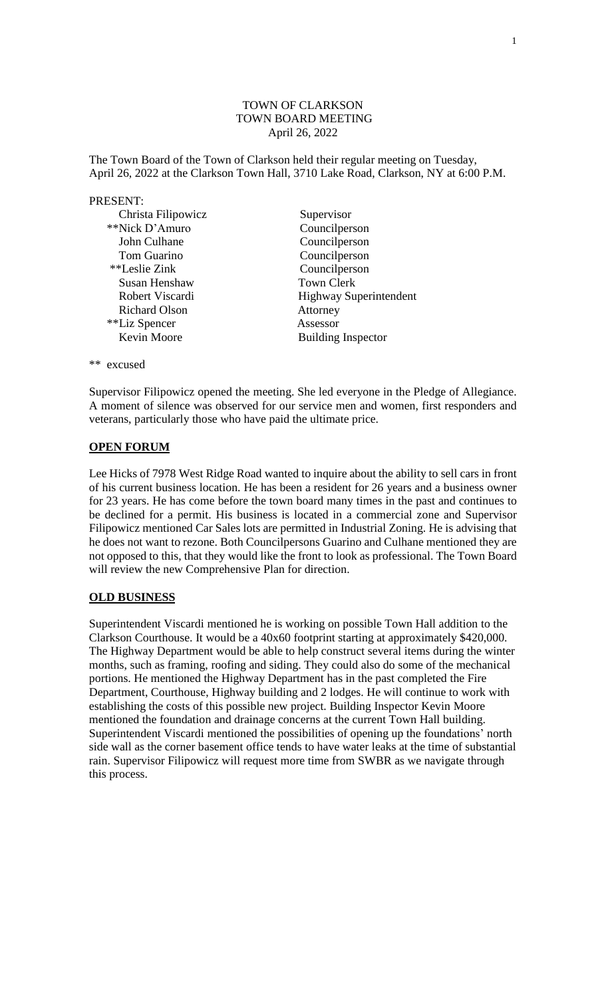### TOWN OF CLARKSON TOWN BOARD MEETING April 26, 2022

The Town Board of the Town of Clarkson held their regular meeting on Tuesday, April 26, 2022 at the Clarkson Town Hall, 3710 Lake Road, Clarkson, NY at 6:00 P.M.

### PRESENT:

| Christa Filipowicz   | Supervisor                    |
|----------------------|-------------------------------|
| **Nick D'Amuro       | Councilperson                 |
| John Culhane         | Councilperson                 |
| Tom Guarino          | Councilperson                 |
| **Leslie Zink        | Councilperson                 |
| Susan Henshaw        | <b>Town Clerk</b>             |
| Robert Viscardi      | <b>Highway Superintendent</b> |
| <b>Richard Olson</b> | Attorney                      |
| **Liz Spencer        | Assessor                      |
| Kevin Moore          | <b>Building Inspector</b>     |

\*\* excused

Supervisor Filipowicz opened the meeting. She led everyone in the Pledge of Allegiance. A moment of silence was observed for our service men and women, first responders and veterans, particularly those who have paid the ultimate price.

### **OPEN FORUM**

Lee Hicks of 7978 West Ridge Road wanted to inquire about the ability to sell cars in front of his current business location. He has been a resident for 26 years and a business owner for 23 years. He has come before the town board many times in the past and continues to be declined for a permit. His business is located in a commercial zone and Supervisor Filipowicz mentioned Car Sales lots are permitted in Industrial Zoning. He is advising that he does not want to rezone. Both Councilpersons Guarino and Culhane mentioned they are not opposed to this, that they would like the front to look as professional. The Town Board will review the new Comprehensive Plan for direction.

### **OLD BUSINESS**

Superintendent Viscardi mentioned he is working on possible Town Hall addition to the Clarkson Courthouse. It would be a 40x60 footprint starting at approximately \$420,000. The Highway Department would be able to help construct several items during the winter months, such as framing, roofing and siding. They could also do some of the mechanical portions. He mentioned the Highway Department has in the past completed the Fire Department, Courthouse, Highway building and 2 lodges. He will continue to work with establishing the costs of this possible new project. Building Inspector Kevin Moore mentioned the foundation and drainage concerns at the current Town Hall building. Superintendent Viscardi mentioned the possibilities of opening up the foundations' north side wall as the corner basement office tends to have water leaks at the time of substantial rain. Supervisor Filipowicz will request more time from SWBR as we navigate through this process.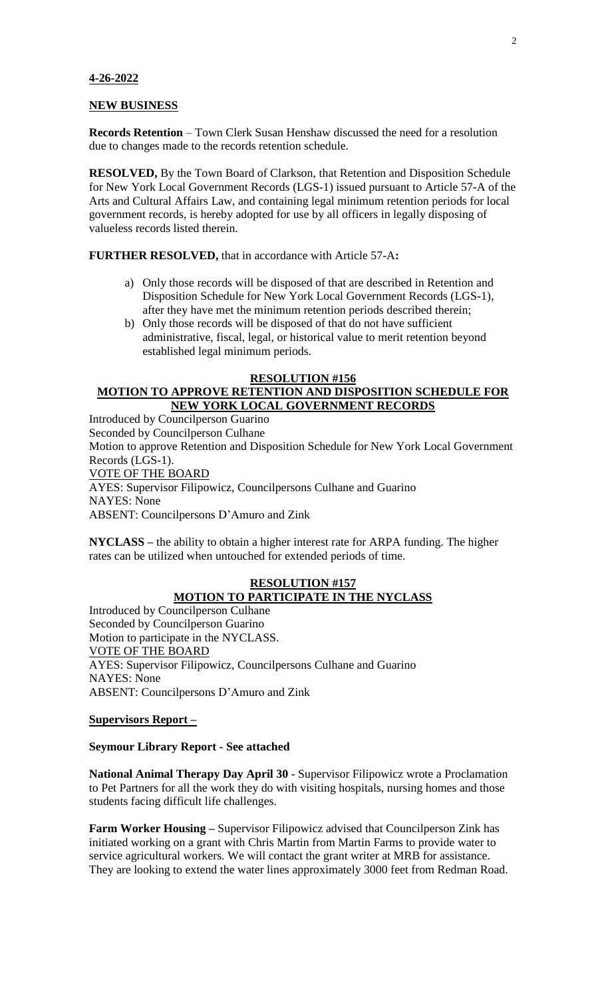### **4-26-2022**

#### **NEW BUSINESS**

**Records Retention** – Town Clerk Susan Henshaw discussed the need for a resolution due to changes made to the records retention schedule.

**RESOLVED,** By the Town Board of Clarkson, that Retention and Disposition Schedule for New York Local Government Records (LGS-1) issued pursuant to Article 57-A of the Arts and Cultural Affairs Law, and containing legal minimum retention periods for local government records, is hereby adopted for use by all officers in legally disposing of valueless records listed therein.

**FURTHER RESOLVED,** that in accordance with Article 57-A**:**

- a) Only those records will be disposed of that are described in Retention and Disposition Schedule for New York Local Government Records (LGS-1), after they have met the minimum retention periods described therein;
- b) Only those records will be disposed of that do not have sufficient administrative, fiscal, legal, or historical value to merit retention beyond established legal minimum periods.

#### **RESOLUTION #156**

## **MOTION TO APPROVE RETENTION AND DISPOSITION SCHEDULE FOR NEW YORK LOCAL GOVERNMENT RECORDS**

Introduced by Councilperson Guarino Seconded by Councilperson Culhane Motion to approve Retention and Disposition Schedule for New York Local Government Records (LGS-1). VOTE OF THE BOARD AYES: Supervisor Filipowicz, Councilpersons Culhane and Guarino NAYES: None ABSENT: Councilpersons D'Amuro and Zink

**NYCLASS –** the ability to obtain a higher interest rate for ARPA funding. The higher rates can be utilized when untouched for extended periods of time.

## **RESOLUTION #157 MOTION TO PARTICIPATE IN THE NYCLASS**

Introduced by Councilperson Culhane Seconded by Councilperson Guarino Motion to participate in the NYCLASS. VOTE OF THE BOARD AYES: Supervisor Filipowicz, Councilpersons Culhane and Guarino NAYES: None ABSENT: Councilpersons D'Amuro and Zink

### **Supervisors Report –**

### **Seymour Library Report - See attached**

**National Animal Therapy Day April 30** - Supervisor Filipowicz wrote a Proclamation to Pet Partners for all the work they do with visiting hospitals, nursing homes and those students facing difficult life challenges.

**Farm Worker Housing –** Supervisor Filipowicz advised that Councilperson Zink has initiated working on a grant with Chris Martin from Martin Farms to provide water to service agricultural workers. We will contact the grant writer at MRB for assistance. They are looking to extend the water lines approximately 3000 feet from Redman Road.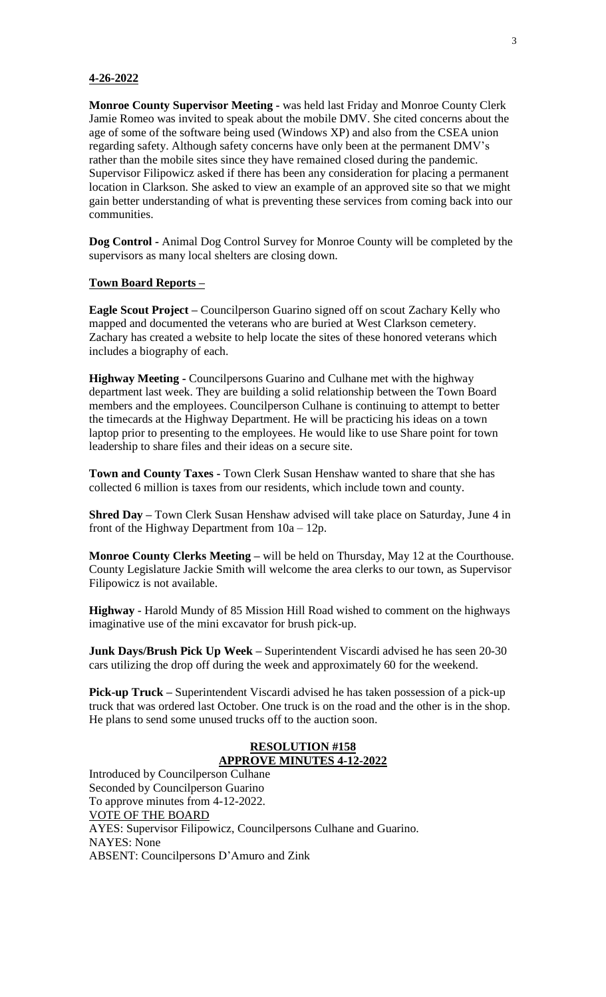### **4-26-2022**

**Monroe County Supervisor Meeting -** was held last Friday and Monroe County Clerk Jamie Romeo was invited to speak about the mobile DMV. She cited concerns about the age of some of the software being used (Windows XP) and also from the CSEA union regarding safety. Although safety concerns have only been at the permanent DMV's rather than the mobile sites since they have remained closed during the pandemic. Supervisor Filipowicz asked if there has been any consideration for placing a permanent location in Clarkson. She asked to view an example of an approved site so that we might gain better understanding of what is preventing these services from coming back into our communities.

**Dog Control -** Animal Dog Control Survey for Monroe County will be completed by the supervisors as many local shelters are closing down.

## **Town Board Reports –**

**Eagle Scout Project –** Councilperson Guarino signed off on scout Zachary Kelly who mapped and documented the veterans who are buried at West Clarkson cemetery. Zachary has created a website to help locate the sites of these honored veterans which includes a biography of each.

**Highway Meeting -** Councilpersons Guarino and Culhane met with the highway department last week. They are building a solid relationship between the Town Board members and the employees. Councilperson Culhane is continuing to attempt to better the timecards at the Highway Department. He will be practicing his ideas on a town laptop prior to presenting to the employees. He would like to use Share point for town leadership to share files and their ideas on a secure site.

**Town and County Taxes -** Town Clerk Susan Henshaw wanted to share that she has collected 6 million is taxes from our residents, which include town and county.

**Shred Day –** Town Clerk Susan Henshaw advised will take place on Saturday, June 4 in front of the Highway Department from 10a – 12p.

**Monroe County Clerks Meeting –** will be held on Thursday, May 12 at the Courthouse. County Legislature Jackie Smith will welcome the area clerks to our town, as Supervisor Filipowicz is not available.

**Highway** - Harold Mundy of 85 Mission Hill Road wished to comment on the highways imaginative use of the mini excavator for brush pick-up.

**Junk Days/Brush Pick Up Week –** Superintendent Viscardi advised he has seen 20-30 cars utilizing the drop off during the week and approximately 60 for the weekend.

**Pick-up Truck –** Superintendent Viscardi advised he has taken possession of a pick-up truck that was ordered last October. One truck is on the road and the other is in the shop. He plans to send some unused trucks off to the auction soon.

### **RESOLUTION #158 APPROVE MINUTES 4-12-2022**

Introduced by Councilperson Culhane Seconded by Councilperson Guarino To approve minutes from 4-12-2022. VOTE OF THE BOARD AYES: Supervisor Filipowicz, Councilpersons Culhane and Guarino. NAYES: None ABSENT: Councilpersons D'Amuro and Zink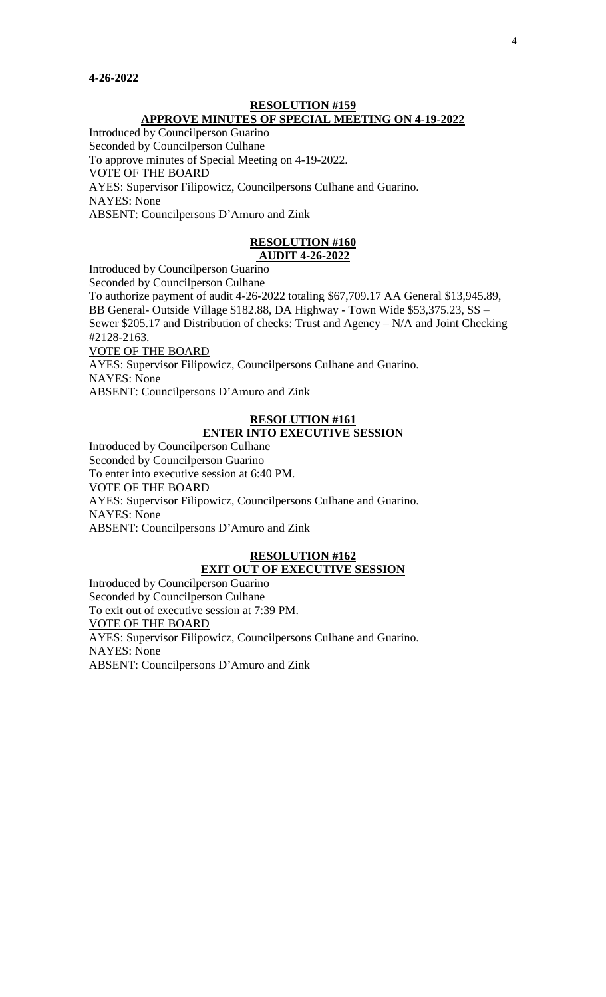### **RESOLUTION #159 APPROVE MINUTES OF SPECIAL MEETING ON 4-19-2022**

Introduced by Councilperson Guarino

Seconded by Councilperson Culhane

To approve minutes of Special Meeting on 4-19-2022.

VOTE OF THE BOARD

AYES: Supervisor Filipowicz, Councilpersons Culhane and Guarino. NAYES: None

ABSENT: Councilpersons D'Amuro and Zink

### **RESOLUTION #160 AUDIT 4-26-2022**

Introduced by Councilperson Guarino

Seconded by Councilperson Culhane To authorize payment of audit 4-26-2022 totaling \$67,709.17 AA General \$13,945.89, BB General- Outside Village \$182.88, DA Highway - Town Wide \$53,375.23, SS – Sewer \$205.17 and Distribution of checks: Trust and Agency – N/A and Joint Checking #2128-2163. VOTE OF THE BOARD AYES: Supervisor Filipowicz, Councilpersons Culhane and Guarino.

NAYES: None

ABSENT: Councilpersons D'Amuro and Zink

### **RESOLUTION #161 ENTER INTO EXECUTIVE SESSION**

Introduced by Councilperson Culhane Seconded by Councilperson Guarino To enter into executive session at 6:40 PM. VOTE OF THE BOARD AYES: Supervisor Filipowicz, Councilpersons Culhane and Guarino. NAYES: None ABSENT: Councilpersons D'Amuro and Zink

### **RESOLUTION #162 EXIT OUT OF EXECUTIVE SESSION**

Introduced by Councilperson Guarino Seconded by Councilperson Culhane To exit out of executive session at 7:39 PM. VOTE OF THE BOARD AYES: Supervisor Filipowicz, Councilpersons Culhane and Guarino. NAYES: None ABSENT: Councilpersons D'Amuro and Zink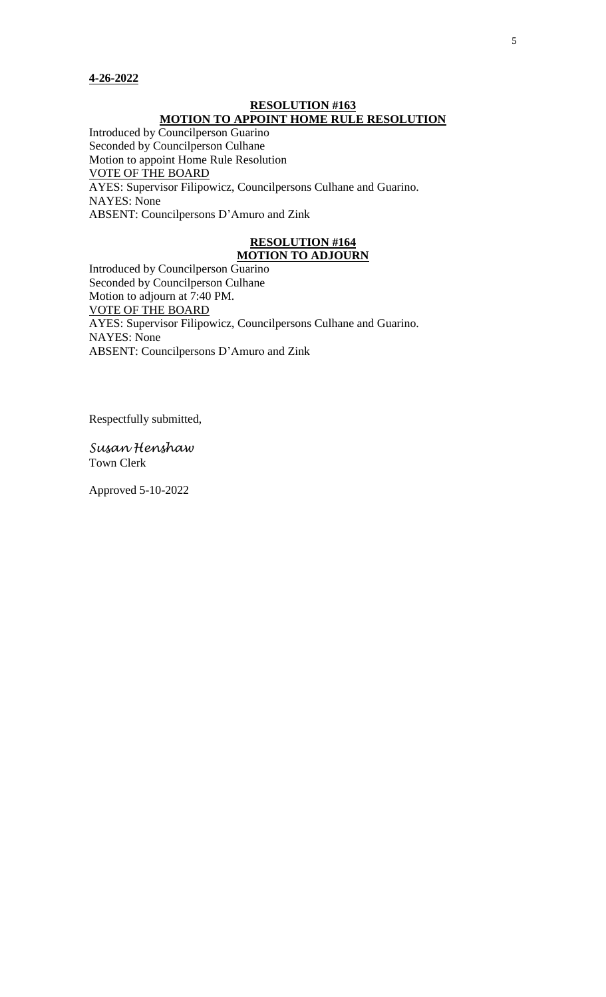### **RESOLUTION #163 MOTION TO APPOINT HOME RULE RESOLUTION**

Introduced by Councilperson Guarino Seconded by Councilperson Culhane Motion to appoint Home Rule Resolution VOTE OF THE BOARD AYES: Supervisor Filipowicz, Councilpersons Culhane and Guarino. NAYES: None ABSENT: Councilpersons D'Amuro and Zink

## **RESOLUTION #164 MOTION TO ADJOURN**

Introduced by Councilperson Guarino Seconded by Councilperson Culhane Motion to adjourn at 7:40 PM. VOTE OF THE BOARD AYES: Supervisor Filipowicz, Councilpersons Culhane and Guarino. NAYES: None ABSENT: Councilpersons D'Amuro and Zink

Respectfully submitted,

*Susan Henshaw* Town Clerk

Approved 5-10-2022